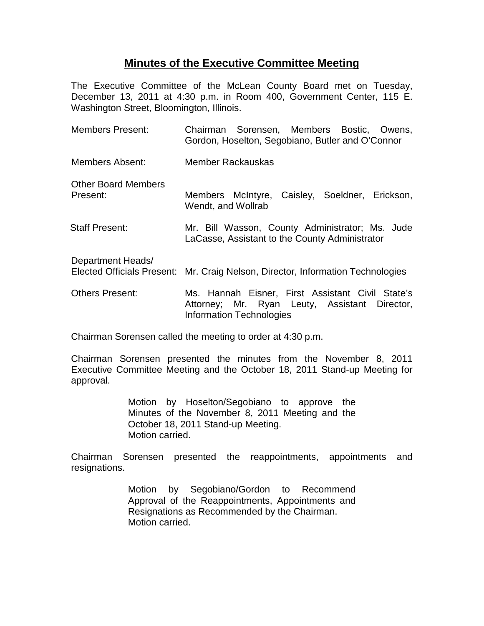## **Minutes of the Executive Committee Meeting**

The Executive Committee of the McLean County Board met on Tuesday, December 13, 2011 at 4:30 p.m. in Room 400, Government Center, 115 E. Washington Street, Bloomington, Illinois.

| <b>Members Present:</b>                                | Chairman Sorensen, Members Bostic, Owens,<br>Gordon, Hoselton, Segobiano, Butler and O'Connor                                 |
|--------------------------------------------------------|-------------------------------------------------------------------------------------------------------------------------------|
| Members Absent:                                        | Member Rackauskas                                                                                                             |
| <b>Other Board Members</b><br>Present:                 | Members McIntyre, Caisley, Soeldner, Erickson,<br>Wendt, and Wollrab                                                          |
| <b>Staff Present:</b>                                  | Mr. Bill Wasson, County Administrator; Ms. Jude<br>LaCasse, Assistant to the County Administrator                             |
| Department Heads/<br><b>Elected Officials Present:</b> | Mr. Craig Nelson, Director, Information Technologies                                                                          |
| <b>Others Present:</b>                                 | Ms. Hannah Eisner, First Assistant Civil State's<br>Attorney; Mr. Ryan Leuty, Assistant Director,<br>Information Technologies |

Chairman Sorensen called the meeting to order at 4:30 p.m.

Chairman Sorensen presented the minutes from the November 8, 2011 Executive Committee Meeting and the October 18, 2011 Stand-up Meeting for approval.

> Motion by Hoselton/Segobiano to approve the Minutes of the November 8, 2011 Meeting and the October 18, 2011 Stand-up Meeting. Motion carried.

Chairman Sorensen presented the reappointments, appointments and resignations.

> Motion by Segobiano/Gordon to Recommend Approval of the Reappointments, Appointments and Resignations as Recommended by the Chairman. Motion carried.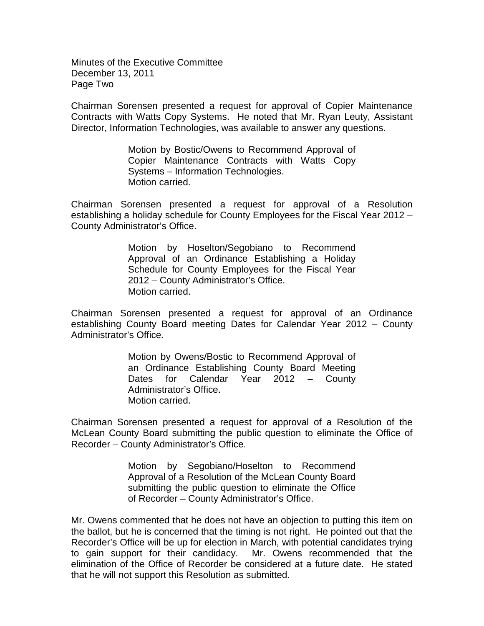Minutes of the Executive Committee December 13, 2011 Page Two

Chairman Sorensen presented a request for approval of Copier Maintenance Contracts with Watts Copy Systems. He noted that Mr. Ryan Leuty, Assistant Director, Information Technologies, was available to answer any questions.

> Motion by Bostic/Owens to Recommend Approval of Copier Maintenance Contracts with Watts Copy Systems – Information Technologies. Motion carried.

Chairman Sorensen presented a request for approval of a Resolution establishing a holiday schedule for County Employees for the Fiscal Year 2012 – County Administrator's Office.

> Motion by Hoselton/Segobiano to Recommend Approval of an Ordinance Establishing a Holiday Schedule for County Employees for the Fiscal Year 2012 – County Administrator's Office. Motion carried.

Chairman Sorensen presented a request for approval of an Ordinance establishing County Board meeting Dates for Calendar Year 2012 – County Administrator's Office.

> Motion by Owens/Bostic to Recommend Approval of an Ordinance Establishing County Board Meeting Dates for Calendar Year 2012 – County Administrator's Office. Motion carried.

Chairman Sorensen presented a request for approval of a Resolution of the McLean County Board submitting the public question to eliminate the Office of Recorder – County Administrator's Office.

> Motion by Segobiano/Hoselton to Recommend Approval of a Resolution of the McLean County Board submitting the public question to eliminate the Office of Recorder – County Administrator's Office.

Mr. Owens commented that he does not have an objection to putting this item on the ballot, but he is concerned that the timing is not right. He pointed out that the Recorder's Office will be up for election in March, with potential candidates trying to gain support for their candidacy. Mr. Owens recommended that the elimination of the Office of Recorder be considered at a future date. He stated that he will not support this Resolution as submitted.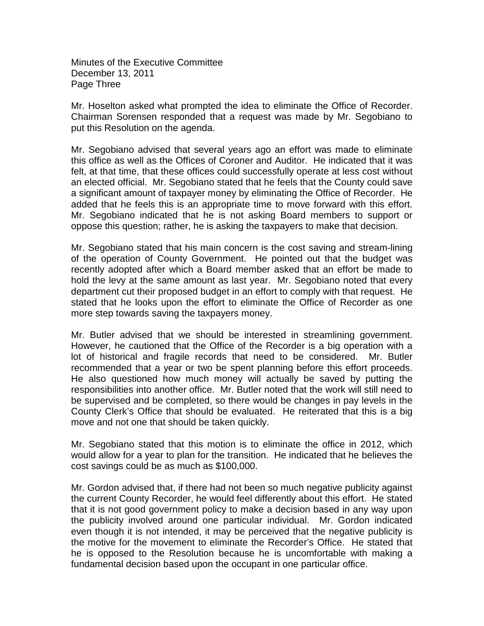Minutes of the Executive Committee December 13, 2011 Page Three

Mr. Hoselton asked what prompted the idea to eliminate the Office of Recorder. Chairman Sorensen responded that a request was made by Mr. Segobiano to put this Resolution on the agenda.

Mr. Segobiano advised that several years ago an effort was made to eliminate this office as well as the Offices of Coroner and Auditor. He indicated that it was felt, at that time, that these offices could successfully operate at less cost without an elected official. Mr. Segobiano stated that he feels that the County could save a significant amount of taxpayer money by eliminating the Office of Recorder. He added that he feels this is an appropriate time to move forward with this effort. Mr. Segobiano indicated that he is not asking Board members to support or oppose this question; rather, he is asking the taxpayers to make that decision.

Mr. Segobiano stated that his main concern is the cost saving and stream-lining of the operation of County Government. He pointed out that the budget was recently adopted after which a Board member asked that an effort be made to hold the levy at the same amount as last year. Mr. Segobiano noted that every department cut their proposed budget in an effort to comply with that request. He stated that he looks upon the effort to eliminate the Office of Recorder as one more step towards saving the taxpayers money.

Mr. Butler advised that we should be interested in streamlining government. However, he cautioned that the Office of the Recorder is a big operation with a lot of historical and fragile records that need to be considered. Mr. Butler recommended that a year or two be spent planning before this effort proceeds. He also questioned how much money will actually be saved by putting the responsibilities into another office. Mr. Butler noted that the work will still need to be supervised and be completed, so there would be changes in pay levels in the County Clerk's Office that should be evaluated. He reiterated that this is a big move and not one that should be taken quickly.

Mr. Segobiano stated that this motion is to eliminate the office in 2012, which would allow for a year to plan for the transition. He indicated that he believes the cost savings could be as much as \$100,000.

Mr. Gordon advised that, if there had not been so much negative publicity against the current County Recorder, he would feel differently about this effort. He stated that it is not good government policy to make a decision based in any way upon the publicity involved around one particular individual. Mr. Gordon indicated even though it is not intended, it may be perceived that the negative publicity is the motive for the movement to eliminate the Recorder's Office. He stated that he is opposed to the Resolution because he is uncomfortable with making a fundamental decision based upon the occupant in one particular office.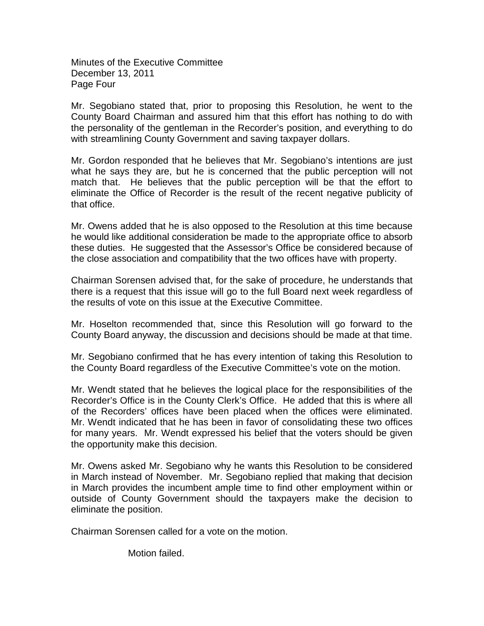Minutes of the Executive Committee December 13, 2011 Page Four

Mr. Segobiano stated that, prior to proposing this Resolution, he went to the County Board Chairman and assured him that this effort has nothing to do with the personality of the gentleman in the Recorder's position, and everything to do with streamlining County Government and saving taxpayer dollars.

Mr. Gordon responded that he believes that Mr. Segobiano's intentions are just what he says they are, but he is concerned that the public perception will not match that. He believes that the public perception will be that the effort to eliminate the Office of Recorder is the result of the recent negative publicity of that office.

Mr. Owens added that he is also opposed to the Resolution at this time because he would like additional consideration be made to the appropriate office to absorb these duties. He suggested that the Assessor's Office be considered because of the close association and compatibility that the two offices have with property.

Chairman Sorensen advised that, for the sake of procedure, he understands that there is a request that this issue will go to the full Board next week regardless of the results of vote on this issue at the Executive Committee.

Mr. Hoselton recommended that, since this Resolution will go forward to the County Board anyway, the discussion and decisions should be made at that time.

Mr. Segobiano confirmed that he has every intention of taking this Resolution to the County Board regardless of the Executive Committee's vote on the motion.

Mr. Wendt stated that he believes the logical place for the responsibilities of the Recorder's Office is in the County Clerk's Office. He added that this is where all of the Recorders' offices have been placed when the offices were eliminated. Mr. Wendt indicated that he has been in favor of consolidating these two offices for many years. Mr. Wendt expressed his belief that the voters should be given the opportunity make this decision.

Mr. Owens asked Mr. Segobiano why he wants this Resolution to be considered in March instead of November. Mr. Segobiano replied that making that decision in March provides the incumbent ample time to find other employment within or outside of County Government should the taxpayers make the decision to eliminate the position.

Chairman Sorensen called for a vote on the motion.

Motion failed.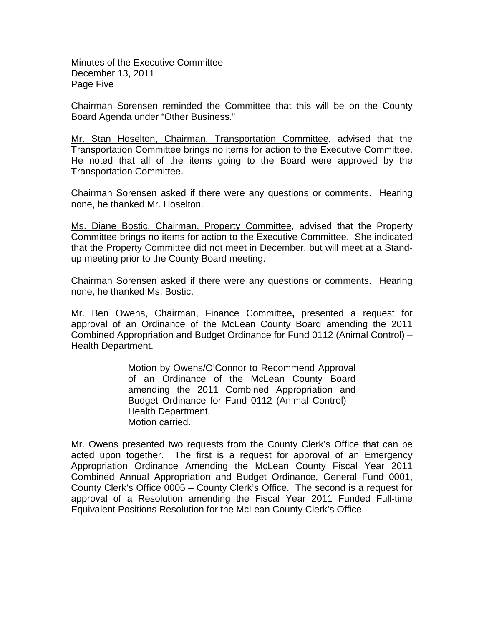Minutes of the Executive Committee December 13, 2011 Page Five

Chairman Sorensen reminded the Committee that this will be on the County Board Agenda under "Other Business."

Mr. Stan Hoselton, Chairman, Transportation Committee, advised that the Transportation Committee brings no items for action to the Executive Committee. He noted that all of the items going to the Board were approved by the Transportation Committee.

Chairman Sorensen asked if there were any questions or comments. Hearing none, he thanked Mr. Hoselton.

Ms. Diane Bostic, Chairman, Property Committee, advised that the Property Committee brings no items for action to the Executive Committee. She indicated that the Property Committee did not meet in December, but will meet at a Standup meeting prior to the County Board meeting.

Chairman Sorensen asked if there were any questions or comments. Hearing none, he thanked Ms. Bostic.

Mr. Ben Owens, Chairman, Finance Committee**,** presented a request for approval of an Ordinance of the McLean County Board amending the 2011 Combined Appropriation and Budget Ordinance for Fund 0112 (Animal Control) – Health Department.

> Motion by Owens/O'Connor to Recommend Approval of an Ordinance of the McLean County Board amending the 2011 Combined Appropriation and Budget Ordinance for Fund 0112 (Animal Control) – Health Department. Motion carried.

Mr. Owens presented two requests from the County Clerk's Office that can be acted upon together. The first is a request for approval of an Emergency Appropriation Ordinance Amending the McLean County Fiscal Year 2011 Combined Annual Appropriation and Budget Ordinance, General Fund 0001, County Clerk's Office 0005 – County Clerk's Office. The second is a request for approval of a Resolution amending the Fiscal Year 2011 Funded Full-time Equivalent Positions Resolution for the McLean County Clerk's Office.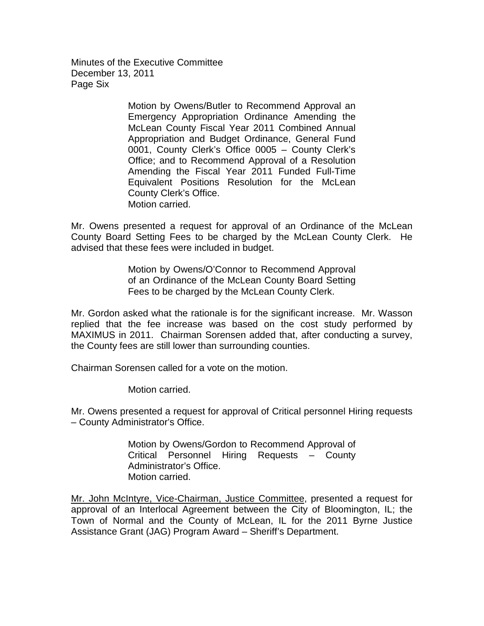Minutes of the Executive Committee December 13, 2011 Page Six

> Motion by Owens/Butler to Recommend Approval an Emergency Appropriation Ordinance Amending the McLean County Fiscal Year 2011 Combined Annual Appropriation and Budget Ordinance, General Fund 0001, County Clerk's Office 0005 – County Clerk's Office; and to Recommend Approval of a Resolution Amending the Fiscal Year 2011 Funded Full-Time Equivalent Positions Resolution for the McLean County Clerk's Office. Motion carried.

Mr. Owens presented a request for approval of an Ordinance of the McLean County Board Setting Fees to be charged by the McLean County Clerk. He advised that these fees were included in budget.

> Motion by Owens/O'Connor to Recommend Approval of an Ordinance of the McLean County Board Setting Fees to be charged by the McLean County Clerk.

Mr. Gordon asked what the rationale is for the significant increase. Mr. Wasson replied that the fee increase was based on the cost study performed by MAXIMUS in 2011. Chairman Sorensen added that, after conducting a survey, the County fees are still lower than surrounding counties.

Chairman Sorensen called for a vote on the motion.

Motion carried.

Mr. Owens presented a request for approval of Critical personnel Hiring requests – County Administrator's Office.

> Motion by Owens/Gordon to Recommend Approval of Critical Personnel Hiring Requests – County Administrator's Office. Motion carried.

Mr. John McIntyre, Vice-Chairman, Justice Committee, presented a request for approval of an Interlocal Agreement between the City of Bloomington, IL; the Town of Normal and the County of McLean, IL for the 2011 Byrne Justice Assistance Grant (JAG) Program Award – Sheriff's Department.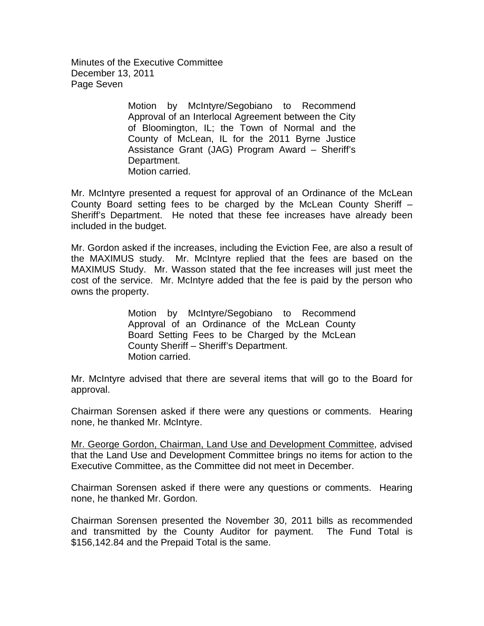Minutes of the Executive Committee December 13, 2011 Page Seven

> Motion by McIntyre/Segobiano to Recommend Approval of an Interlocal Agreement between the City of Bloomington, IL; the Town of Normal and the County of McLean, IL for the 2011 Byrne Justice Assistance Grant (JAG) Program Award – Sheriff's Department. Motion carried.

Mr. McIntyre presented a request for approval of an Ordinance of the McLean County Board setting fees to be charged by the McLean County Sheriff – Sheriff's Department. He noted that these fee increases have already been included in the budget.

Mr. Gordon asked if the increases, including the Eviction Fee, are also a result of the MAXIMUS study. Mr. McIntyre replied that the fees are based on the MAXIMUS Study. Mr. Wasson stated that the fee increases will just meet the cost of the service. Mr. McIntyre added that the fee is paid by the person who owns the property.

> Motion by McIntyre/Segobiano to Recommend Approval of an Ordinance of the McLean County Board Setting Fees to be Charged by the McLean County Sheriff – Sheriff's Department. Motion carried.

Mr. McIntyre advised that there are several items that will go to the Board for approval.

Chairman Sorensen asked if there were any questions or comments. Hearing none, he thanked Mr. McIntyre.

Mr. George Gordon, Chairman, Land Use and Development Committee, advised that the Land Use and Development Committee brings no items for action to the Executive Committee, as the Committee did not meet in December.

Chairman Sorensen asked if there were any questions or comments. Hearing none, he thanked Mr. Gordon.

Chairman Sorensen presented the November 30, 2011 bills as recommended and transmitted by the County Auditor for payment. The Fund Total is \$156,142.84 and the Prepaid Total is the same.